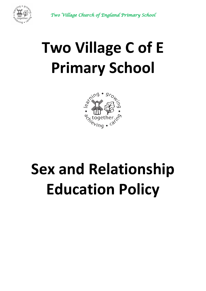



# **Two Village C of E Primary School**



# **Sex and Relationship Education Policy**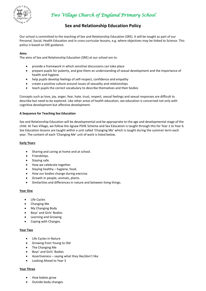

*Two Village Church of England Primary School* 

### **Sex and Relationship Education Policy**

Our school is committed to the teaching of Sex and Relationship Education (SRE). It will be taught as part of our Personal, Social, Health Education and in cross-curricular lessons, e.g. where objectives may be linked to Science. This policy is based on DfE guidance.

#### **Aims**

The aims of Sex and Relationship Education (SRE) at our school are to:

- provide a framework in which sensitive discussions can take place
- prepare pupils for puberty, and give them an understanding of sexual development and the importance of health and hygiene
- help pupils develop feelings of self-respect, confidence and empathy
- create a positive culture around issues of sexuality and relationships
- teach pupils the correct vocabulary to describe themselves and their bodies

Concepts such as love, joy, anger, fear, hate, trust, respect, sexual feelings and sexual responses are difficult to describe but need to be explored. Like other areas of health education, sex education is concerned not only with cognitive development but affective development.

#### **A Sequence for Teaching Sex Education**

Sex and Relationship Education will be developmental and be appropriate to the age and developmental stage of the child. At Two Village, we follow the Jigsaw PSHE Scheme and Sex Education is taught through this for Year 1 to Year 6. Sex Education lessons are taught within a unit called 'Changing Me' which is taught during the summer term each year. The content of each 'Changing Me' unit of work is listed below.

#### **Early Years**

- Sharing and caring at home and at school.
- Friendships.
- Staying safe.
- How we celebrate together.
- $\bullet$  Staying healthy hygiene, food.
- How our bodies change during exercise.
- Growth in people, animals, plants.
- Similarities and differences in nature and between living things.

#### **Year One**

- Life Cycles
- Changing Me
- My Changing Body
- Boys' and Girls' Bodies
- Learning and Growing
- Coping with Changes.

#### **Year Two**

- Life Cycles in Nature
- Growing from Young to Old
- The Changing Me
- Boys' and Girls' Bodies
- Assertiveness saying what they like/don't like
- Looking Ahead to Year 3

#### **Year Three**

- How babies grow
- Outside body changes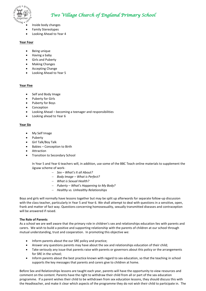

- Inside body changes
- Family Stereotypes
- Looking Ahead to Year 4

#### **Year Four**

- Being unique
- Having a baby
- **•** Girls and Puberty
- Making Changes
- Accepting Change
- Looking Ahead to Year 5

#### **Year Five**

- Self and Body Image
- Puberty for Girls
- Puberty for Boys
- Conception
- Looking Ahead becoming a teenager and responsibilities
- Looking ahead to Year 6

#### **Year Six**

- My Self Image
- Puberty
- Girl Talk/Boy Talk
- Babies Conception to Birth
- Attraction
- **•** Transition to Secondary School

In Year 5 and Year 6 teachers will, in addition, use some of the BBC Teach online materials to supplement the Jigsaw scheme of work-

- *Sex – What's It all About?*
- *Body Image – What is Perfect?*
- *What is Sexual Health?*
- *Puberty – What's Happening to My Body?*
- *Healthy vs. Unhealthy Relationships*

Boys and girls will normally have lessons together but may be split up afterwards for separate follow-up discussion with the class teacher, particularly in Year 5 and Year 6. We shall attempt to deal with questions in a sensitive, open, frank and matter of fact way. Questions concerning homosexuality, sexually transmitted diseases and contraception will be answered if raised.

#### **The Role of Parents**

As a school we are well aware that the primary role in children's sex and relationships education lies with parents and carers. We wish to build a positive and supporting relationship with the parents of children at our school through mutual understanding, trust and cooperation. In promoting this objective we:

- Inform parents about the our SRE policy and practice;
- Answer any questions parents may have about the sex and relationships education of their child;
- Take seriously any issue that parents raise with parents or governors about this policy or the arrangements for SRE in the school;
- Inform parents about the best practice known with regard to sex education, so that the teaching in school supports the key messages that parents and carers give to children at home.

Before Sex and Relationships lessons are taught each year, parents will have the opportunity to view resources and comment on the content. Parents have the right to withdraw their child from all or part of the sex education programme. If a parent wishes their child to be withdrawn from sex education lessons, they should discuss this with the Headteacher, and make it clear which aspects of the programme they do not wish their child to participate in. The